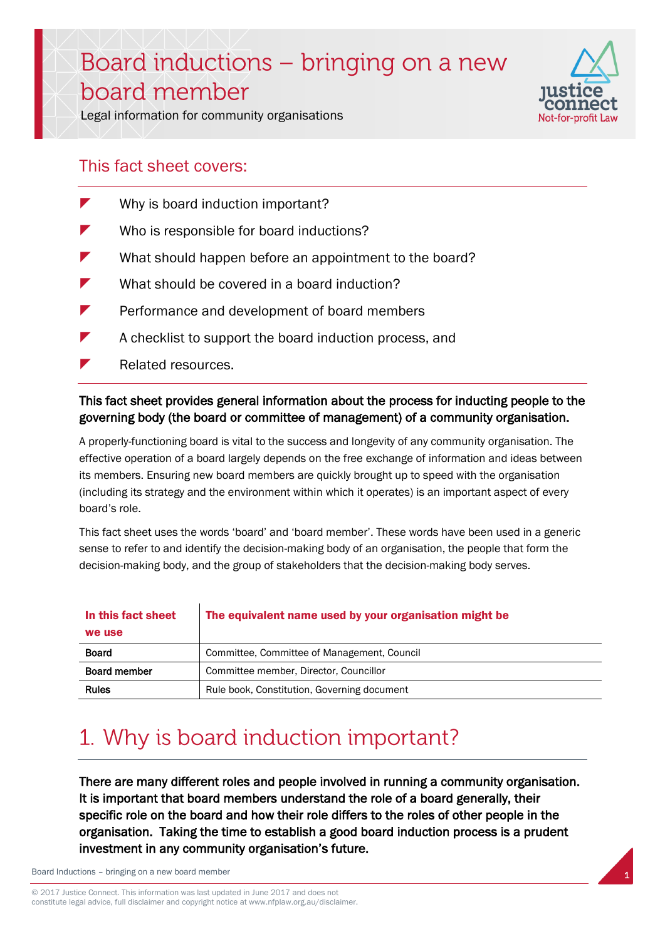# Board inductions – bringing on a new board member



Legal information for community organisations

### This fact sheet covers:

- Why is board induction important?
- Who is responsible for board inductions?
- What should happen before an appointment to the board?
- What should be covered in a board induction?
- Performance and development of board members
- $\blacktriangleright$  A checklist to support the board induction process, and
- Related resources.

### This fact sheet provides general information about the process for inducting people to the governing body (the board or committee of management) of a community organisation.

A properly-functioning board is vital to the success and longevity of any community organisation. The effective operation of a board largely depends on the free exchange of information and ideas between its members. Ensuring new board members are quickly brought up to speed with the organisation (including its strategy and the environment within which it operates) is an important aspect of every board's role.

This fact sheet uses the words 'board' and 'board member'. These words have been used in a generic sense to refer to and identify the decision-making body of an organisation, the people that form the decision-making body, and the group of stakeholders that the decision-making body serves.

| In this fact sheet<br>we use | The equivalent name used by your organisation might be |
|------------------------------|--------------------------------------------------------|
| <b>Board</b>                 | Committee, Committee of Management, Council            |
| <b>Board member</b>          | Committee member, Director, Councillor                 |
| <b>Rules</b>                 | Rule book, Constitution, Governing document            |

## 1. Why is board induction important?

There are many different roles and people involved in running a community organisation. It is important that board members understand the role of a board generally, their specific role on the board and how their role differs to the roles of other people in the organisation. Taking the time to establish a good board induction process is a prudent investment in any community organisation's future.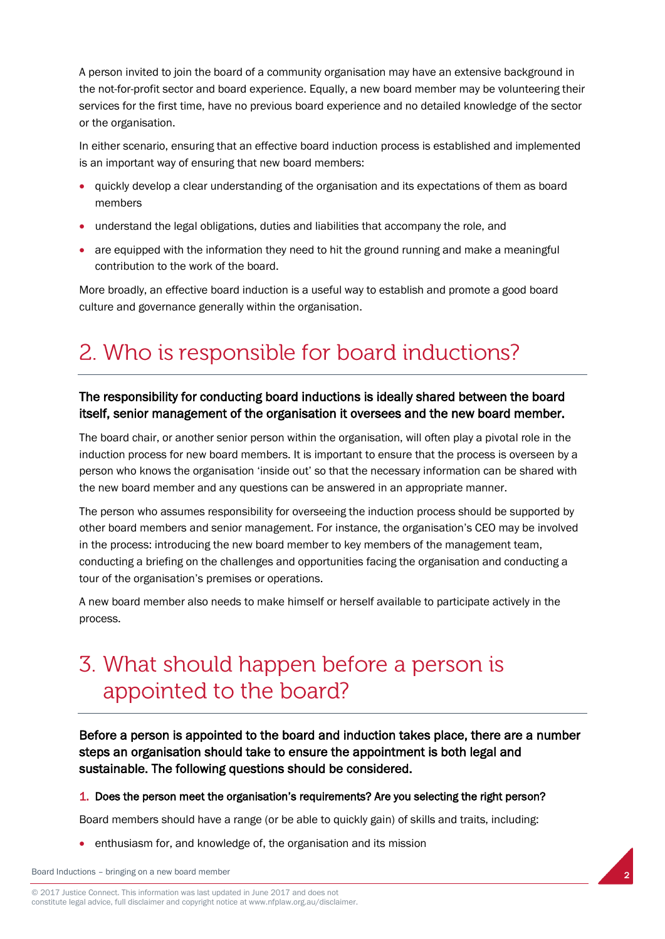A person invited to join the board of a community organisation may have an extensive background in the not-for-profit sector and board experience. Equally, a new board member may be volunteering their services for the first time, have no previous board experience and no detailed knowledge of the sector or the organisation.

In either scenario, ensuring that an effective board induction process is established and implemented is an important way of ensuring that new board members:

- quickly develop a clear understanding of the organisation and its expectations of them as board members
- understand the legal obligations, duties and liabilities that accompany the role, and
- are equipped with the information they need to hit the ground running and make a meaningful contribution to the work of the board.

More broadly, an effective board induction is a useful way to establish and promote a good board culture and governance generally within the organisation.

## 2. Who is responsible for board inductions?

### The responsibility for conducting board inductions is ideally shared between the board itself, senior management of the organisation it oversees and the new board member.

The board chair, or another senior person within the organisation, will often play a pivotal role in the induction process for new board members. It is important to ensure that the process is overseen by a person who knows the organisation 'inside out' so that the necessary information can be shared with the new board member and any questions can be answered in an appropriate manner.

The person who assumes responsibility for overseeing the induction process should be supported by other board members and senior management. For instance, the organisation's CEO may be involved in the process: introducing the new board member to key members of the management team, conducting a briefing on the challenges and opportunities facing the organisation and conducting a tour of the organisation's premises or operations.

A new board member also needs to make himself or herself available to participate actively in the process.

### 3. What should happen before a person is appointed to the board?

Before a person is appointed to the board and induction takes place, there are a number steps an organisation should take to ensure the appointment is both legal and sustainable. The following questions should be considered.

#### 1. Does the person meet the organisation's requirements? Are you selecting the right person?

Board members should have a range (or be able to quickly gain) of skills and traits, including:

enthusiasm for, and knowledge of, the organisation and its mission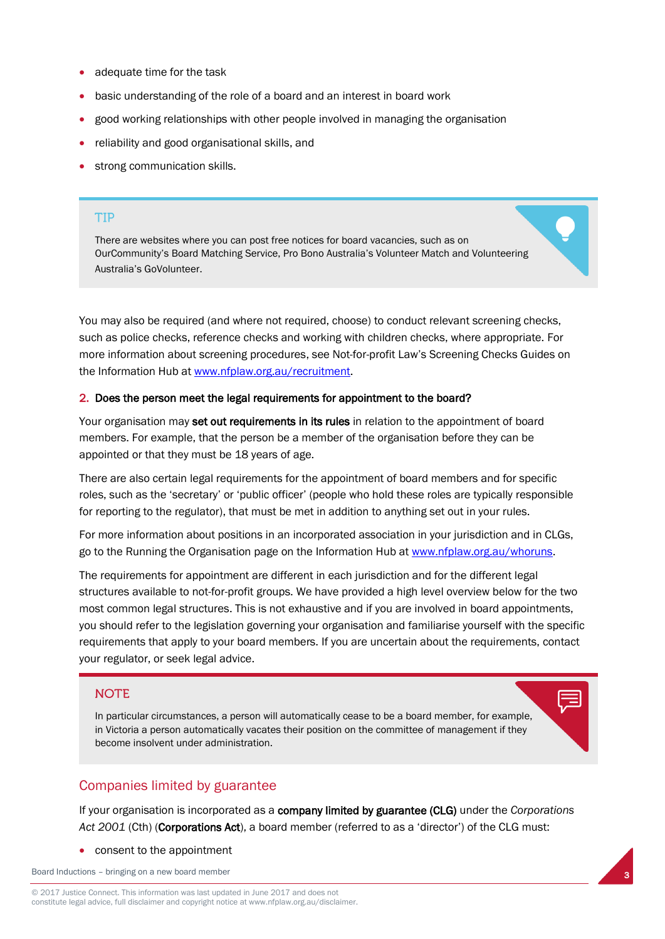- adequate time for the task
- basic understanding of the role of a board and an interest in board work
- good working relationships with other people involved in managing the organisation
- reliability and good organisational skills, and
- strong communication skills.

#### **TIP**

There are websites where you can post free notices for board vacancies, such as on OurCommunity's Board Matching Service, Pro Bono Australia's Volunteer Match and Volunteering Australia's GoVolunteer.

You may also be required (and where not required, choose) to conduct relevant screening checks, such as police checks, reference checks and working with children checks, where appropriate. For more information about screening procedures, see Not-for-profit Law's Screening Checks Guides on the Information Hub at [www.nfplaw.org.au/recruitment.](http://www.nfplaw.org.au/recruitment)

#### 2. Does the person meet the legal requirements for appointment to the board?

Your organisation may set out requirements in its rules in relation to the appointment of board members. For example, that the person be a member of the organisation before they can be appointed or that they must be 18 years of age.

There are also certain legal requirements for the appointment of board members and for specific roles, such as the 'secretary' or 'public officer' (people who hold these roles are typically responsible for reporting to the regulator), that must be met in addition to anything set out in your rules.

For more information about positions in an incorporated association in your jurisdiction and in CLGs, go to the Running the Organisation page on the Information Hub a[t www.nfplaw.org.au/whoruns.](http://www.nfplaw.org.au/whoruns)

The requirements for appointment are different in each jurisdiction and for the different legal structures available to not-for-profit groups. We have provided a high level overview below for the two most common legal structures. This is not exhaustive and if you are involved in board appointments, you should refer to the legislation governing your organisation and familiarise yourself with the specific requirements that apply to your board members. If you are uncertain about the requirements, contact your regulator, or seek legal advice.

#### **NOTE**

In particular circumstances, a person will automatically cease to be a board member, for example, in Victoria a person automatically vacates their position on the committee of management if they become insolvent under administration.

### Companies limited by guarantee

If your organisation is incorporated as a company limited by guarantee (CLG) under the *Corporations*  Act 2001 (Cth) (Corporations Act), a board member (referred to as a 'director') of the CLG must:

consent to the appointment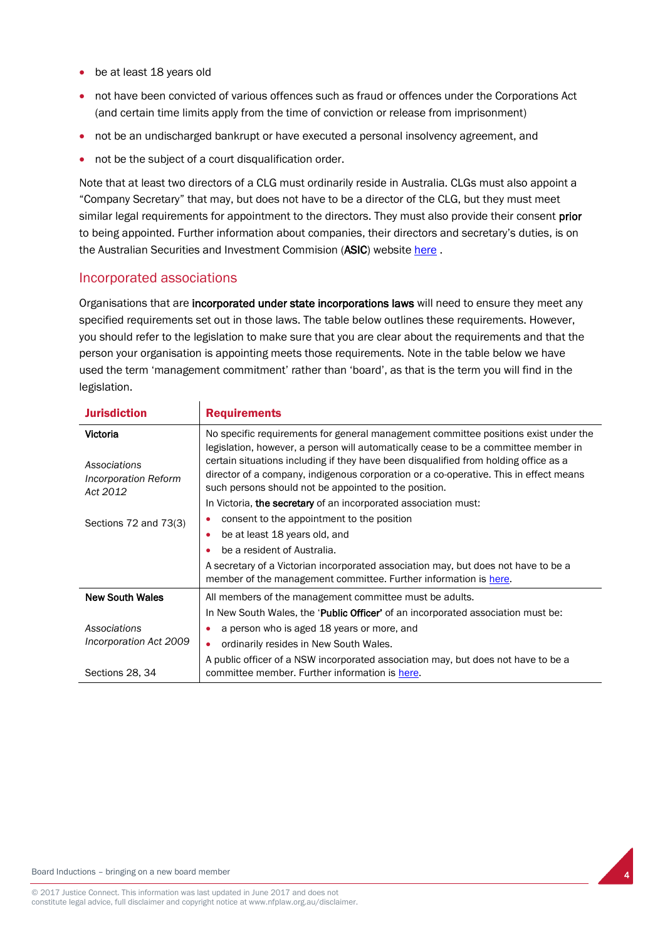- be at least 18 years old
- not have been convicted of various offences such as fraud or offences under the Corporations Act (and certain time limits apply from the time of conviction or release from imprisonment)
- not be an undischarged bankrupt or have executed a personal insolvency agreement, and
- not be the subject of a court disqualification order.

 $\mathbf{r}$ 

Note that at least two directors of a CLG must ordinarily reside in Australia. CLGs must also appoint a "Company Secretary" that may, but does not have to be a director of the CLG, but they must meet similar legal requirements for appointment to the directors. They must also provide their consent prior to being appointed. Further information about companies, their directors and secretary's duties, is on the Australian Securities and Investment Commision (ASIC) website [here](http://asic.gov.au/for-business/running-a-company/company-officeholder-duties/your-company-and-the-law/).

### Incorporated associations

Organisations that are incorporated under state incorporations laws will need to ensure they meet any specified requirements set out in those laws. The table below outlines these requirements. However, you should refer to the legislation to make sure that you are clear about the requirements and that the person your organisation is appointing meets those requirements. Note in the table below we have used the term 'management commitment' rather than 'board', as that is the term you will find in the legislation.

| <b>Jurisdiction</b>                                          | <b>Requirements</b>                                                                                                                                                                                                                                                                                                                                                                                                  |
|--------------------------------------------------------------|----------------------------------------------------------------------------------------------------------------------------------------------------------------------------------------------------------------------------------------------------------------------------------------------------------------------------------------------------------------------------------------------------------------------|
| Victoria<br>Associations<br>Incorporation Reform<br>Act 2012 | No specific requirements for general management committee positions exist under the<br>legislation, however, a person will automatically cease to be a committee member in<br>certain situations including if they have been disqualified from holding office as a<br>director of a company, indigenous corporation or a co-operative. This in effect means<br>such persons should not be appointed to the position. |
|                                                              | In Victoria, the secretary of an incorporated association must:                                                                                                                                                                                                                                                                                                                                                      |
| Sections 72 and 73(3)                                        | consent to the appointment to the position                                                                                                                                                                                                                                                                                                                                                                           |
|                                                              | be at least 18 years old, and<br>$\bullet$                                                                                                                                                                                                                                                                                                                                                                           |
|                                                              | be a resident of Australia.                                                                                                                                                                                                                                                                                                                                                                                          |
|                                                              | A secretary of a Victorian incorporated association may, but does not have to be a<br>member of the management committee. Further information is here.                                                                                                                                                                                                                                                               |
| <b>New South Wales</b>                                       | All members of the management committee must be adults.                                                                                                                                                                                                                                                                                                                                                              |
|                                                              | In New South Wales, the 'Public Officer' of an incorporated association must be:                                                                                                                                                                                                                                                                                                                                     |
| Associations                                                 | a person who is aged 18 years or more, and                                                                                                                                                                                                                                                                                                                                                                           |
| Incorporation Act 2009                                       | ordinarily resides in New South Wales.<br>$\bullet$                                                                                                                                                                                                                                                                                                                                                                  |
| Sections 28, 34                                              | A public officer of a NSW incorporated association may, but does not have to be a<br>committee member. Further information is here.                                                                                                                                                                                                                                                                                  |



4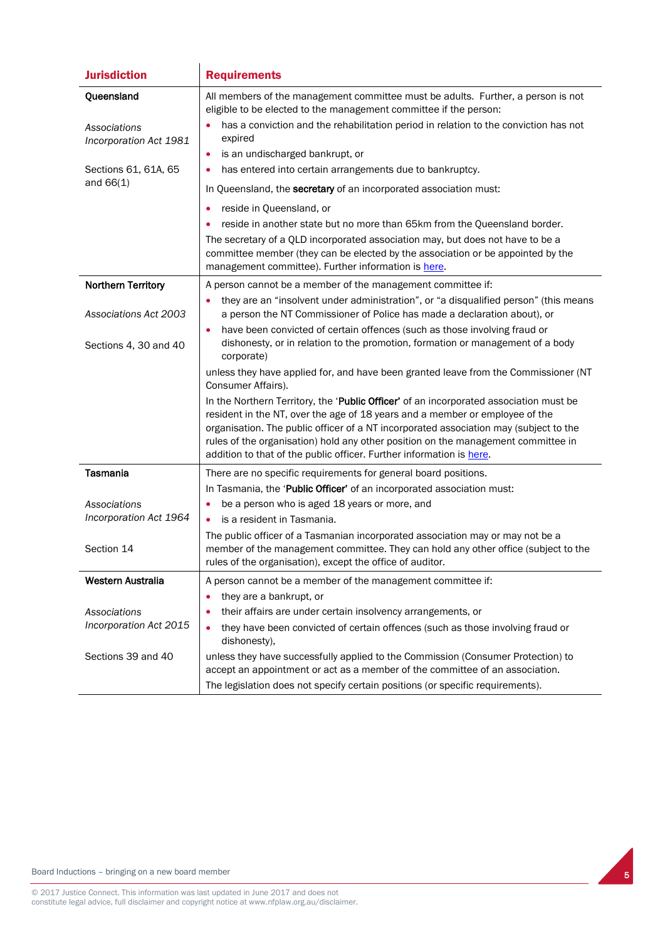| <b>Jurisdiction</b>                    | <b>Requirements</b>                                                                                                                                                                                                                                                                                                                                                                                                          |
|----------------------------------------|------------------------------------------------------------------------------------------------------------------------------------------------------------------------------------------------------------------------------------------------------------------------------------------------------------------------------------------------------------------------------------------------------------------------------|
| Queensland                             | All members of the management committee must be adults. Further, a person is not<br>eligible to be elected to the management committee if the person:                                                                                                                                                                                                                                                                        |
| Associations<br>Incorporation Act 1981 | has a conviction and the rehabilitation period in relation to the conviction has not<br>expired                                                                                                                                                                                                                                                                                                                              |
|                                        | is an undischarged bankrupt, or<br>٠                                                                                                                                                                                                                                                                                                                                                                                         |
| Sections 61, 61A, 65<br>and $66(1)$    | has entered into certain arrangements due to bankruptcy.<br>$\bullet$<br>In Queensland, the secretary of an incorporated association must:                                                                                                                                                                                                                                                                                   |
|                                        | reside in Queensland, or<br>٠                                                                                                                                                                                                                                                                                                                                                                                                |
|                                        | reside in another state but no more than 65km from the Queensland border.                                                                                                                                                                                                                                                                                                                                                    |
|                                        | The secretary of a QLD incorporated association may, but does not have to be a<br>committee member (they can be elected by the association or be appointed by the<br>management committee). Further information is here.                                                                                                                                                                                                     |
| <b>Northern Territory</b>              | A person cannot be a member of the management committee if:                                                                                                                                                                                                                                                                                                                                                                  |
| <b>Associations Act 2003</b>           | they are an "insolvent under administration", or "a disqualified person" (this means<br>a person the NT Commissioner of Police has made a declaration about), or                                                                                                                                                                                                                                                             |
| Sections 4, 30 and 40                  | have been convicted of certain offences (such as those involving fraud or<br>$\bullet$<br>dishonesty, or in relation to the promotion, formation or management of a body<br>corporate)                                                                                                                                                                                                                                       |
|                                        | unless they have applied for, and have been granted leave from the Commissioner (NT<br>Consumer Affairs).                                                                                                                                                                                                                                                                                                                    |
|                                        | In the Northern Territory, the 'Public Officer' of an incorporated association must be<br>resident in the NT, over the age of 18 years and a member or employee of the<br>organisation. The public officer of a NT incorporated association may (subject to the<br>rules of the organisation) hold any other position on the management committee in<br>addition to that of the public officer. Further information is here. |
| <b>Tasmania</b>                        | There are no specific requirements for general board positions.                                                                                                                                                                                                                                                                                                                                                              |
|                                        | In Tasmania, the 'Public Officer' of an incorporated association must:                                                                                                                                                                                                                                                                                                                                                       |
| Associations<br>Incorporation Act 1964 | be a person who is aged 18 years or more, and<br>٠                                                                                                                                                                                                                                                                                                                                                                           |
|                                        | is a resident in Tasmania.<br>$\bullet$<br>The public officer of a Tasmanian incorporated association may or may not be a                                                                                                                                                                                                                                                                                                    |
| Section 14                             | member of the management committee. They can hold any other office (subject to the<br>rules of the organisation), except the office of auditor.                                                                                                                                                                                                                                                                              |
| Western Australia                      | A person cannot be a member of the management committee if:                                                                                                                                                                                                                                                                                                                                                                  |
|                                        | they are a bankrupt, or                                                                                                                                                                                                                                                                                                                                                                                                      |
| Associations                           | their affairs are under certain insolvency arrangements, or<br>$\bullet$                                                                                                                                                                                                                                                                                                                                                     |
| Incorporation Act 2015                 | they have been convicted of certain offences (such as those involving fraud or<br>$\bullet$<br>dishonesty),                                                                                                                                                                                                                                                                                                                  |
| Sections 39 and 40                     | unless they have successfully applied to the Commission (Consumer Protection) to<br>accept an appointment or act as a member of the committee of an association.                                                                                                                                                                                                                                                             |
|                                        | The legislation does not specify certain positions (or specific requirements).                                                                                                                                                                                                                                                                                                                                               |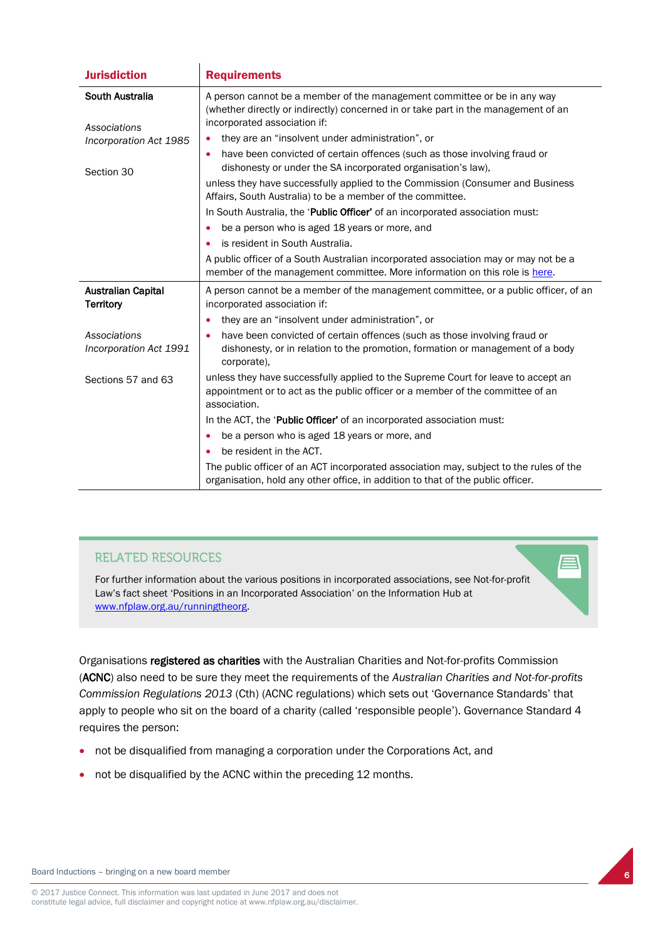| <b>Jurisdiction</b>                           | <b>Requirements</b>                                                                                                                                                                            |
|-----------------------------------------------|------------------------------------------------------------------------------------------------------------------------------------------------------------------------------------------------|
| South Australia<br>Associations               | A person cannot be a member of the management committee or be in any way<br>(whether directly or indirectly) concerned in or take part in the management of an<br>incorporated association if: |
| Incorporation Act 1985                        | they are an "insolvent under administration", or<br>$\bullet$                                                                                                                                  |
| Section 30                                    | have been convicted of certain offences (such as those involving fraud or<br>$\bullet$<br>dishonesty or under the SA incorporated organisation's law),                                         |
|                                               | unless they have successfully applied to the Commission (Consumer and Business<br>Affairs, South Australia) to be a member of the committee.                                                   |
|                                               | In South Australia, the 'Public Officer' of an incorporated association must:                                                                                                                  |
|                                               | be a person who is aged 18 years or more, and<br>$\bullet$                                                                                                                                     |
|                                               | is resident in South Australia.                                                                                                                                                                |
|                                               | A public officer of a South Australian incorporated association may or may not be a<br>member of the management committee. More information on this role is here.                              |
| <b>Australian Capital</b><br><b>Territory</b> | A person cannot be a member of the management committee, or a public officer, of an<br>incorporated association if:                                                                            |
|                                               | they are an "insolvent under administration", or<br>$\bullet$                                                                                                                                  |
| Associations<br>Incorporation Act 1991        | have been convicted of certain offences (such as those involving fraud or<br>$\bullet$<br>dishonesty, or in relation to the promotion, formation or management of a body<br>corporate),        |
| Sections 57 and 63                            | unless they have successfully applied to the Supreme Court for leave to accept an<br>appointment or to act as the public officer or a member of the committee of an<br>association.            |
|                                               | In the ACT, the 'Public Officer' of an incorporated association must:                                                                                                                          |
|                                               | be a person who is aged 18 years or more, and<br>$\bullet$                                                                                                                                     |
|                                               | be resident in the ACT.                                                                                                                                                                        |
|                                               | The public officer of an ACT incorporated association may, subject to the rules of the<br>organisation, hold any other office, in addition to that of the public officer.                      |

### **RELATED RESOURCES**

For further information about the various positions in incorporated associations, see Not-for-profit Law's fact sheet 'Positions in an Incorporated Association' on the Information Hub at [www.nfplaw.org.au/runningtheorg.](http://www.nfplaw.org.au/runningtheorg) 

Organisations registered as charities with the Australian Charities and Not-for-profits Commission (ACNC) also need to be sure they meet the requirements of the *Australian Charities and Not-for-profits Commission Regulations 2013* (Cth) (ACNC regulations) which sets out 'Governance Standards' that apply to people who sit on the board of a charity (called 'responsible people'). Governance Standard 4 requires the person:

- not be disqualified from managing a corporation under the Corporations Act, and
- not be disqualified by the ACNC within the preceding 12 months.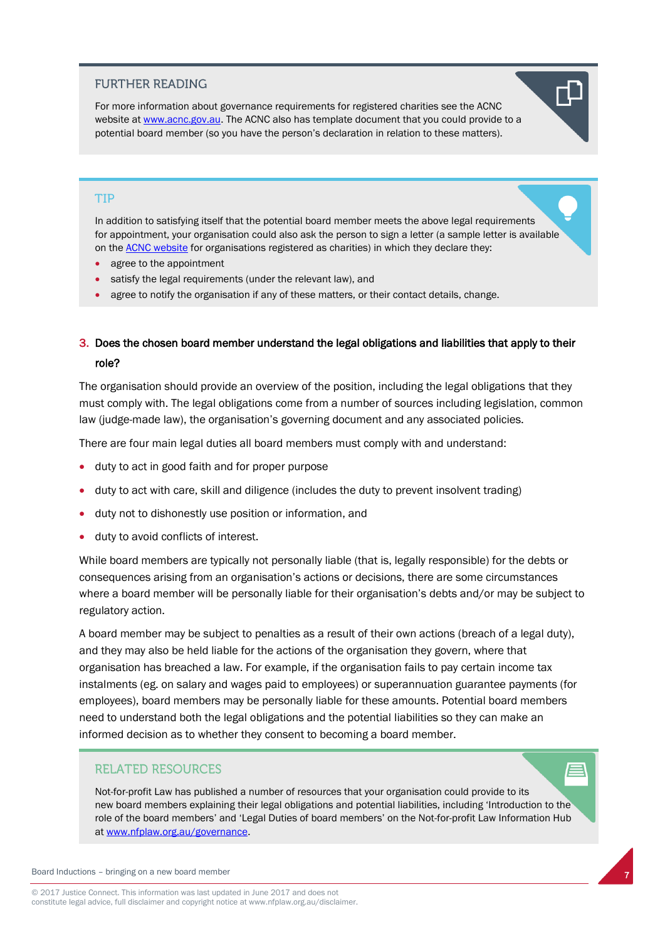### **FURTHER READING**

For more information about governance requirements for registered charities see the ACNC website a[t www.acnc.gov.au.](http://www.acnc.gov.au/) The ACNC also has template document that you could provide to a potential board member (so you have the person's declaration in relation to these matters).

#### **TIP**

In addition to satisfying itself that the potential board member meets the above legal requirements for appointment, your organisation could also ask the person to sign a letter (a sample letter is available on the [ACNC website](http://www.acnc.gov.au/ACNC/Publications/Templates/Template_appointment.aspx) for organisations registered as charities) in which they declare they:

- agree to the appointment
- satisfy the legal requirements (under the relevant law), and
- agree to notify the organisation if any of these matters, or their contact details, change.

### 3. Does the chosen board member understand the legal obligations and liabilities that apply to their role?

The organisation should provide an overview of the position, including the legal obligations that they must comply with. The legal obligations come from a number of sources including legislation, common law (judge-made law), the organisation's governing document and any associated policies.

There are four main legal duties all board members must comply with and understand:

- duty to act in good faith and for proper purpose
- duty to act with care, skill and diligence (includes the duty to prevent insolvent trading)
- duty not to dishonestly use position or information, and
- duty to avoid conflicts of interest.

While board members are typically not personally liable (that is, legally responsible) for the debts or consequences arising from an organisation's actions or decisions, there are some circumstances where a board member will be personally liable for their organisation's debts and/or may be subject to regulatory action.

A board member may be subject to penalties as a result of their own actions (breach of a legal duty), and they may also be held liable for the actions of the organisation they govern, where that organisation has breached a law. For example, if the organisation fails to pay certain income tax instalments (eg. on salary and wages paid to employees) or superannuation guarantee payments (for employees), board members may be personally liable for these amounts. Potential board members need to understand both the legal obligations and the potential liabilities so they can make an informed decision as to whether they consent to becoming a board member.

#### **RELATED RESOURCES**

Not-for-profit Law has published a number of resources that your organisation could provide to its new board members explaining their legal obligations and potential liabilities, including 'Introduction to the role of the board members' and 'Legal Duties of board members' on the Not-for-profit Law Information Hub a[t www.nfplaw.org.au/governance.](http://www.nfplaw.org.au/governance)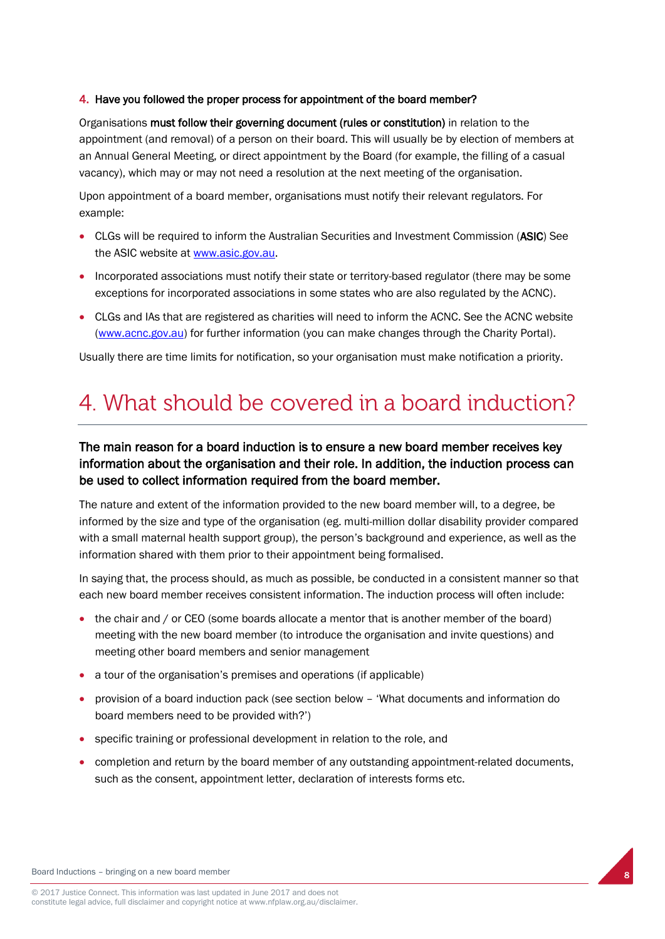### 4. Have you followed the proper process for appointment of the board member?

Organisations must follow their governing document (rules or constitution) in relation to the appointment (and removal) of a person on their board. This will usually be by election of members at an Annual General Meeting, or direct appointment by the Board (for example, the filling of a casual vacancy), which may or may not need a resolution at the next meeting of the organisation.

Upon appointment of a board member, organisations must notify their relevant regulators. For example:

- CLGs will be required to inform the Australian Securities and Investment Commission (ASIC) See the ASIC website at [www.asic.gov.au.](http://www.asic.gov.au/)
- Incorporated associations must notify their state or territory-based regulator (there may be some exceptions for incorporated associations in some states who are also regulated by the ACNC).
- CLGs and IAs that are registered as charities will need to inform the ACNC. See the ACNC website [\(www.acnc.gov.au\)](http://www.acnc.gov.au/) for further information (you can make changes through the Charity Portal).

Usually there are time limits for notification, so your organisation must make notification a priority.

## 4. What should be covered in a board induction?

### The main reason for a board induction is to ensure a new board member receives key information about the organisation and their role. In addition, the induction process can be used to collect information required from the board member.

The nature and extent of the information provided to the new board member will, to a degree, be informed by the size and type of the organisation (eg. multi-million dollar disability provider compared with a small maternal health support group), the person's background and experience, as well as the information shared with them prior to their appointment being formalised.

In saying that, the process should, as much as possible, be conducted in a consistent manner so that each new board member receives consistent information. The induction process will often include:

- the chair and / or CEO (some boards allocate a mentor that is another member of the board) meeting with the new board member (to introduce the organisation and invite questions) and meeting other board members and senior management
- a tour of the organisation's premises and operations (if applicable)
- provision of a board induction pack (see section below 'What documents and information do board members need to be provided with?')
- specific training or professional development in relation to the role, and
- completion and return by the board member of any outstanding appointment-related documents, such as the consent, appointment letter, declaration of interests forms etc.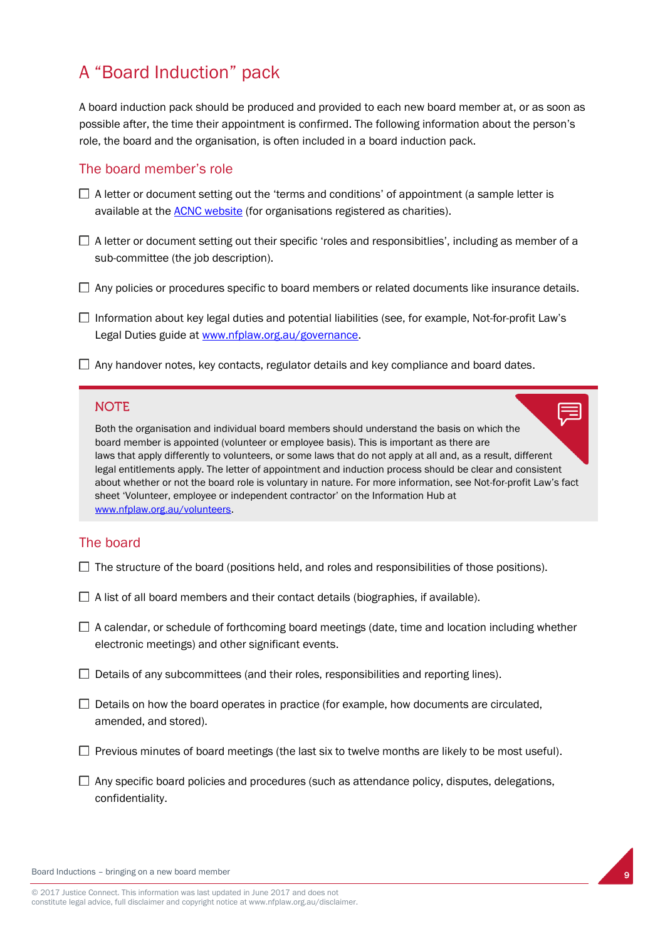### A "Board Induction" pack

A board induction pack should be produced and provided to each new board member at, or as soon as possible after, the time their appointment is confirmed. The following information about the person's role, the board and the organisation, is often included in a board induction pack.

### The board member's role

- $\Box$  A letter or document setting out the 'terms and conditions' of appointment (a sample letter is available at the **ACNC** website (for organisations registered as charities).
- $\Box$  A letter or document setting out their specific 'roles and responsibitlies', including as member of a sub-committee (the job description).
- $\Box$  Any policies or procedures specific to board members or related documents like insurance details.
- $\Box$  Information about key legal duties and potential liabilities (see, for example, Not-for-profit Law's Legal Duties guide at [www.nfplaw.org.au/governance.](http://www.nfplaw.org.au/governance)
- $\Box$  Any handover notes, key contacts, regulator details and key compliance and board dates.

### **NOTE**

Both the organisation and individual board members should understand the basis on which the board member is appointed (volunteer or employee basis). This is important as there are laws that apply differently to volunteers, or some laws that do not apply at all and, as a result, different legal entitlements apply. The letter of appointment and induction process should be clear and consistent about whether or not the board role is voluntary in nature. For more information, see Not-for-profit Law's fact sheet 'Volunteer, employee or independent contractor' on the Information Hub at [www.nfplaw.org.au/volunteers.](http://www.nfplaw.org.au/volunteers)

### The board

- $\Box$  The structure of the board (positions held, and roles and responsibilities of those positions).
- $\Box$  A list of all board members and their contact details (biographies, if available).
- $\Box$  A calendar, or schedule of forthcoming board meetings (date, time and location including whether electronic meetings) and other significant events.
- $\Box$  Details of any subcommittees (and their roles, responsibilities and reporting lines).
- $\Box$  Details on how the board operates in practice (for example, how documents are circulated, amended, and stored).
- $\Box$  Previous minutes of board meetings (the last six to twelve months are likely to be most useful).
- $\Box$  Any specific board policies and procedures (such as attendance policy, disputes, delegations, confidentiality.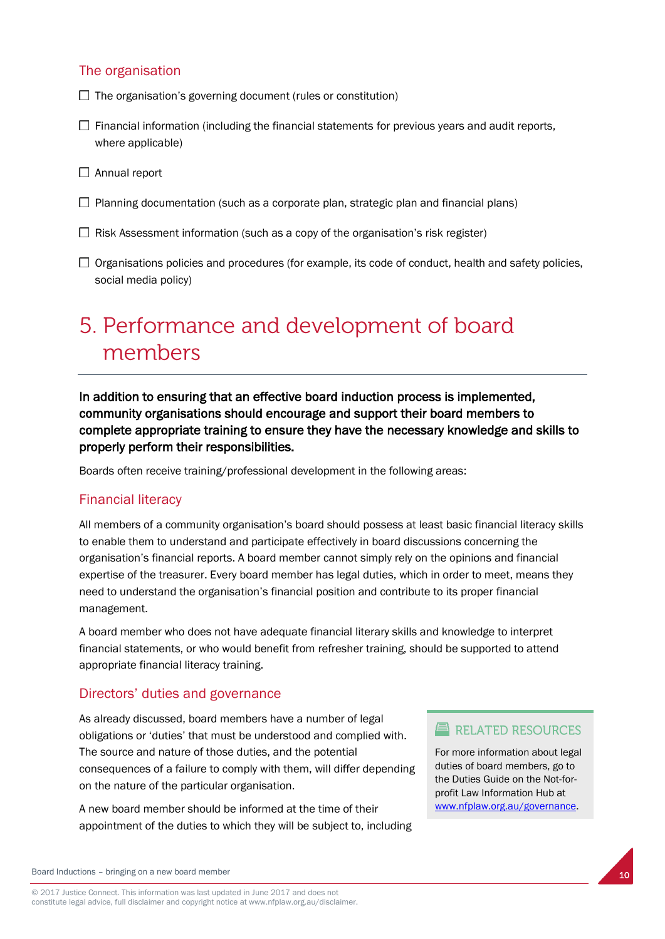### The organisation

- $\Box$  The organisation's governing document (rules or constitution)
- $\Box$  Financial information (including the financial statements for previous years and audit reports, where applicable)
- $\Box$  Annual report
- $\Box$  Planning documentation (such as a corporate plan, strategic plan and financial plans)
- $\Box$  Risk Assessment information (such as a copy of the organisation's risk register)
- $\Box$  Organisations policies and procedures (for example, its code of conduct, health and safety policies, social media policy)

## 5. Performance and development of board members

In addition to ensuring that an effective board induction process is implemented, community organisations should encourage and support their board members to complete appropriate training to ensure they have the necessary knowledge and skills to properly perform their responsibilities.

Boards often receive training/professional development in the following areas:

### Financial literacy

All members of a community organisation's board should possess at least basic financial literacy skills to enable them to understand and participate effectively in board discussions concerning the organisation's financial reports. A board member cannot simply rely on the opinions and financial expertise of the treasurer. Every board member has legal duties, which in order to meet, means they need to understand the organisation's financial position and contribute to its proper financial management.

A board member who does not have adequate financial literary skills and knowledge to interpret financial statements, or who would benefit from refresher training, should be supported to attend appropriate financial literacy training.

### Directors' duties and governance

As already discussed, board members have a number of legal obligations or 'duties' that must be understood and complied with. The source and nature of those duties, and the potential consequences of a failure to comply with them, will differ depending on the nature of the particular organisation.

A new board member should be informed at the time of their appointment of the duties to which they will be subject to, including

### $\equiv$  RELATED RESOURCES

For more information about legal duties of board members, go to the Duties Guide on the Not-forprofit Law Information Hub at [www.nfplaw.org.au/governance.](http://www.nfplaw.org.au/governance)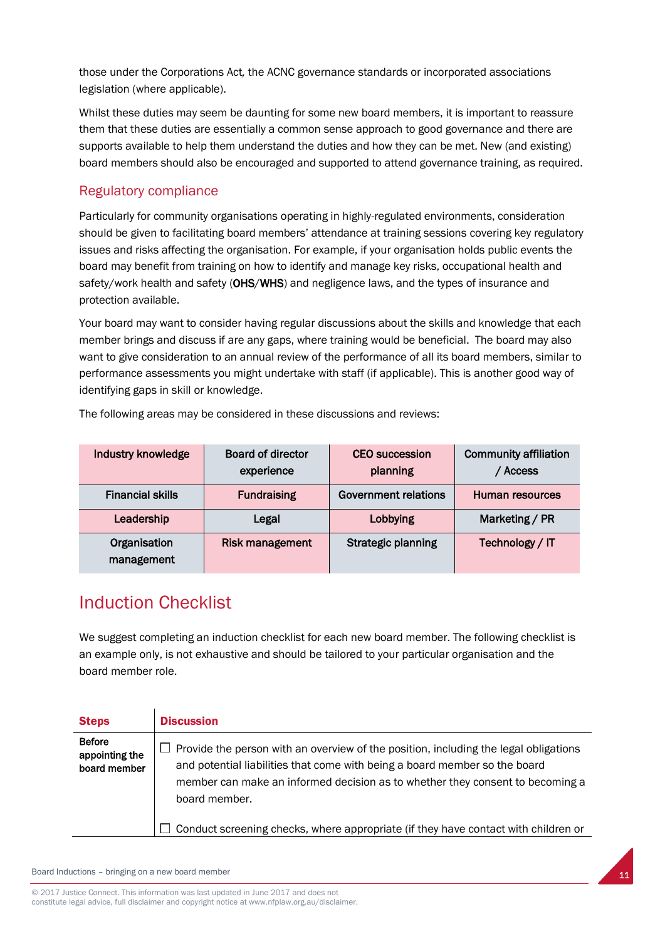those under the Corporations Act*,* the ACNC governance standards or incorporated associations legislation (where applicable).

Whilst these duties may seem be daunting for some new board members, it is important to reassure them that these duties are essentially a common sense approach to good governance and there are supports available to help them understand the duties and how they can be met. New (and existing) board members should also be encouraged and supported to attend governance training, as required.

### Regulatory compliance

Particularly for community organisations operating in highly-regulated environments, consideration should be given to facilitating board members' attendance at training sessions covering key regulatory issues and risks affecting the organisation. For example, if your organisation holds public events the board may benefit from training on how to identify and manage key risks, occupational health and safety/work health and safety (OHS/WHS) and negligence laws, and the types of insurance and protection available.

Your board may want to consider having regular discussions about the skills and knowledge that each member brings and discuss if are any gaps, where training would be beneficial. The board may also want to give consideration to an annual review of the performance of all its board members, similar to performance assessments you might undertake with staff (if applicable). This is another good way of identifying gaps in skill or knowledge.

| Industry knowledge         | <b>Board of director</b><br>experience | <b>CEO</b> succession<br>planning | <b>Community affiliation</b><br><b>Access</b> |
|----------------------------|----------------------------------------|-----------------------------------|-----------------------------------------------|
| <b>Financial skills</b>    | <b>Fundraising</b>                     | Government relations              | Human resources                               |
| Leadership                 | Legal                                  | Lobbying                          | Marketing / PR                                |
| Organisation<br>management | <b>Risk management</b>                 | <b>Strategic planning</b>         | Technology / IT                               |

The following areas may be considered in these discussions and reviews:

### Induction Checklist

We suggest completing an induction checklist for each new board member. The following checklist is an example only, is not exhaustive and should be tailored to your particular organisation and the board member role.

| <b>Steps</b>                                    | <b>Discussion</b>                                                                                                                                                                                                                                                                                                                                                 |
|-------------------------------------------------|-------------------------------------------------------------------------------------------------------------------------------------------------------------------------------------------------------------------------------------------------------------------------------------------------------------------------------------------------------------------|
| <b>Before</b><br>appointing the<br>board member | Provide the person with an overview of the position, including the legal obligations<br>and potential liabilities that come with being a board member so the board<br>member can make an informed decision as to whether they consent to becoming a<br>board member.<br>$\Box$ Conduct screening checks, where appropriate (if they have contact with children or |
|                                                 |                                                                                                                                                                                                                                                                                                                                                                   |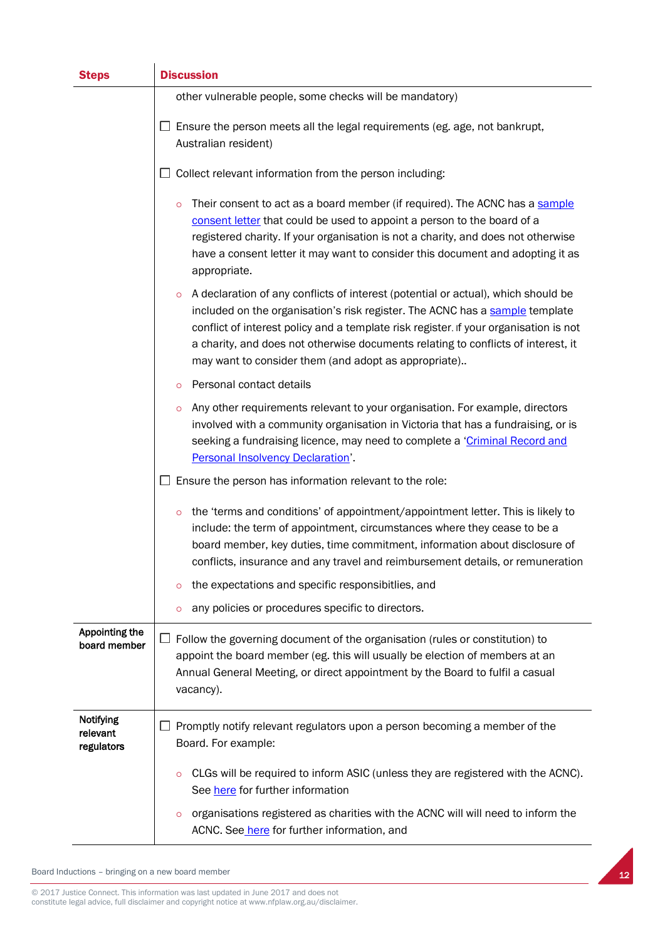| <b>Steps</b>                        | <b>Discussion</b>                                                                                                                                                                                                                                                                                                                                                                                                  |
|-------------------------------------|--------------------------------------------------------------------------------------------------------------------------------------------------------------------------------------------------------------------------------------------------------------------------------------------------------------------------------------------------------------------------------------------------------------------|
|                                     | other vulnerable people, some checks will be mandatory)                                                                                                                                                                                                                                                                                                                                                            |
|                                     | Ensure the person meets all the legal requirements (eg. age, not bankrupt,<br>Australian resident)                                                                                                                                                                                                                                                                                                                 |
|                                     | Collect relevant information from the person including:                                                                                                                                                                                                                                                                                                                                                            |
|                                     | Their consent to act as a board member (if required). The ACNC has a sample<br>$\circ$<br>consent letter that could be used to appoint a person to the board of a<br>registered charity. If your organisation is not a charity, and does not otherwise<br>have a consent letter it may want to consider this document and adopting it as<br>appropriate.                                                           |
|                                     | A declaration of any conflicts of interest (potential or actual), which should be<br>$\circ$<br>included on the organisation's risk register. The ACNC has a sample template<br>conflict of interest policy and a template risk register. If your organisation is not<br>a charity, and does not otherwise documents relating to conflicts of interest, it<br>may want to consider them (and adopt as appropriate) |
|                                     | Personal contact details<br>$\circ$                                                                                                                                                                                                                                                                                                                                                                                |
|                                     | Any other requirements relevant to your organisation. For example, directors<br>$\circ$<br>involved with a community organisation in Victoria that has a fundraising, or is<br>seeking a fundraising licence, may need to complete a 'Criminal Record and<br><b>Personal Insolvency Declaration'.</b>                                                                                                              |
|                                     | Ensure the person has information relevant to the role:                                                                                                                                                                                                                                                                                                                                                            |
|                                     | the 'terms and conditions' of appointment/appointment letter. This is likely to<br>$\circ$<br>include: the term of appointment, circumstances where they cease to be a<br>board member, key duties, time commitment, information about disclosure of<br>conflicts, insurance and any travel and reimbursement details, or remuneration                                                                             |
|                                     | the expectations and specific responsibitlies, and<br>$\circ$                                                                                                                                                                                                                                                                                                                                                      |
|                                     | any policies or procedures specific to directors.<br>$\circ$                                                                                                                                                                                                                                                                                                                                                       |
| Appointing the<br>board member      | Follow the governing document of the organisation (rules or constitution) to<br>ப<br>appoint the board member (eg. this will usually be election of members at an<br>Annual General Meeting, or direct appointment by the Board to fulfil a casual<br>vacancy).                                                                                                                                                    |
| Notifying<br>relevant<br>regulators | Promptly notify relevant regulators upon a person becoming a member of the<br>Board. For example:                                                                                                                                                                                                                                                                                                                  |
|                                     | CLGs will be required to inform ASIC (unless they are registered with the ACNC).<br>$\circ$<br>See here for further information                                                                                                                                                                                                                                                                                    |
|                                     | organisations registered as charities with the ACNC will will need to inform the<br>$\circ$<br>ACNC. See here for further information, and                                                                                                                                                                                                                                                                         |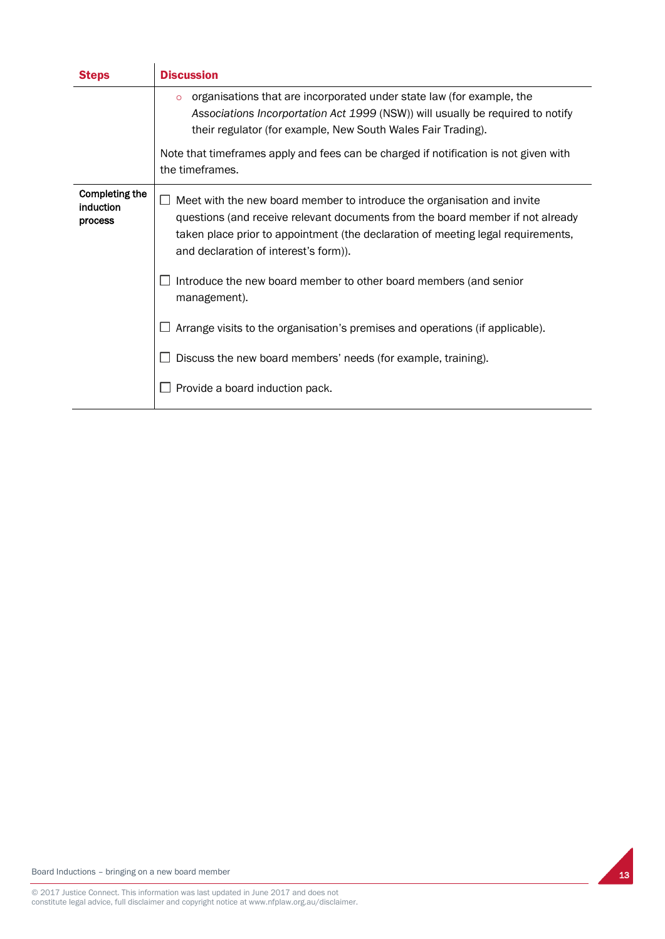| <b>Steps</b>                           | <b>Discussion</b>                                                                                                                                                                                                                                                                                                                             |
|----------------------------------------|-----------------------------------------------------------------------------------------------------------------------------------------------------------------------------------------------------------------------------------------------------------------------------------------------------------------------------------------------|
|                                        | organisations that are incorporated under state law (for example, the<br>$\circ$<br>Associations Incorportation Act 1999 (NSW)) will usually be required to notify<br>their regulator (for example, New South Wales Fair Trading).<br>Note that timeframes apply and fees can be charged if notification is not given with<br>the timeframes. |
| Completing the<br>induction<br>process | Meet with the new board member to introduce the organisation and invite<br>H<br>questions (and receive relevant documents from the board member if not already<br>taken place prior to appointment (the declaration of meeting legal requirements,<br>and declaration of interest's form)).                                                   |
|                                        | Introduce the new board member to other board members (and senior<br>management).                                                                                                                                                                                                                                                             |
|                                        | Arrange visits to the organisation's premises and operations (if applicable).                                                                                                                                                                                                                                                                 |
|                                        | Discuss the new board members' needs (for example, training).                                                                                                                                                                                                                                                                                 |
|                                        | Provide a board induction pack.                                                                                                                                                                                                                                                                                                               |

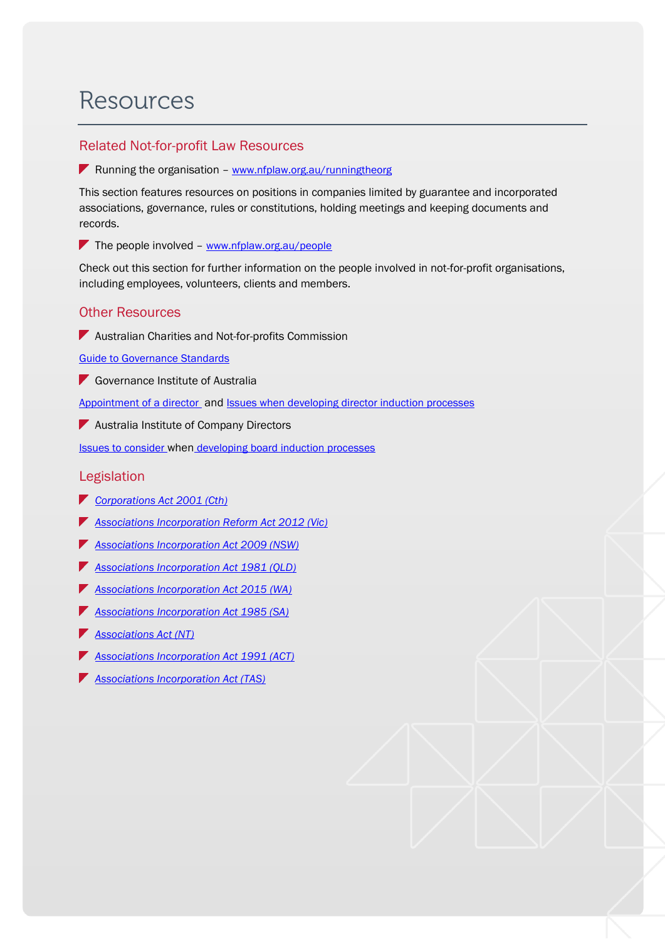## **Resources**

### Related Not-for-profit Law Resources

**K** Running the organisation – [www.nfplaw.org.au/runningtheorg](http://www.nfplaw.org.au/runningtheorg)

This section features resources on positions in companies limited by guarantee and incorporated associations, governance, rules or constitutions, holding meetings and keeping documents and records.

The people involved –  $www.nfplaw.org.au/people$ 

Check out this section for further information on the people involved in not-for-profit organisations, including employees, volunteers, clients and members.

### Other Resources

**Australian Charities and Not-for-profits Commission** 

[Guide to Governance](http://www.acnc.gov.au/ACNC/Manage/Governance/ACNC/Edu/GovStds_overview.aspx) Standards

Governance Institute of Australia

[Appointment of a director](https://www.governanceinstitute.com.au/knowledge-resources/guidance-tools/good-governance-guides/) and [Issues when developing director induction processes](file:///C:/Users/kaelasnibson/AppData/Local/Microsoft/Windows/Temporary%20Internet%20Files/Content.Outlook/W1G4M61X/ssues%20to%20consider%20when%20developing%20director%20induction%20processes)

**Australia Institute of Company Directors** 

Issues to consider when [developing board induction processes](https://www.communitydirectors.com.au/icda/tools/?articleId=1337) 

### Legislation

- *[Corporations Act 2001 \(Cth\)](https://www.legislation.gov.au/Details/C2017C00129)*
- *[Associations Incorporation Reform Act 2012 \(Vic\)](http://www.austlii.edu.au/au/legis/vic/consol_act/aira2012376/)*
- *[Associations Incorporation Act 2009 \(NSW\)](http://www.austlii.edu.au/au/legis/nsw/consol_act/aia2009307/)*
- *[Associations Incorporation Act 1981 \(QLD\)](http://www.austlii.edu.au/au/legis/qld/consol_act/aia1981307/)*
- *[Associations Incorporation Act 2015](http://www.austlii.edu.au/au/legis/wa/consol_act/aia2015307/) (WA)*
- *[Associations Incorporation Act 1985 \(SA\)](http://www.austlii.edu.au/au/legis/sa/consol_act/aia1985307/)*
- *[Associations Act \(NT\)](http://www.austlii.edu.au/au/legis/nt/consol_act/aa153/)*
- *[Associations Incorporation Act 1991 \(ACT\)](http://www.austlii.edu.au/au/legis/act/consol_act/aia1991307/)*
- *[Associations Incorporation Act \(TAS\)](http://www.austlii.edu.au/au/legis/tas/consol_act/aia1964307/)*